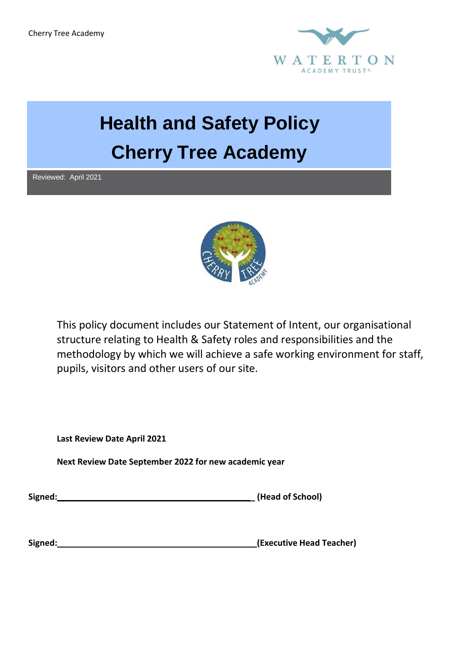Cherry Tree Academy



# **Health and Safety Policy Cherry Tree Academy**

Reviewed: April 2021



This policy document includes our Statement of Intent, our organisational structure relating to Health & Safety roles and responsibilities and the methodology by which we will achieve a safe working environment for staff, pupils, visitors and other users of our site.

**Last Review Date April 2021**

**Next Review Date September 2022 for new academic year**

**Signed: \_ (Head of School)**

**Signed: (Executive Head Teacher)**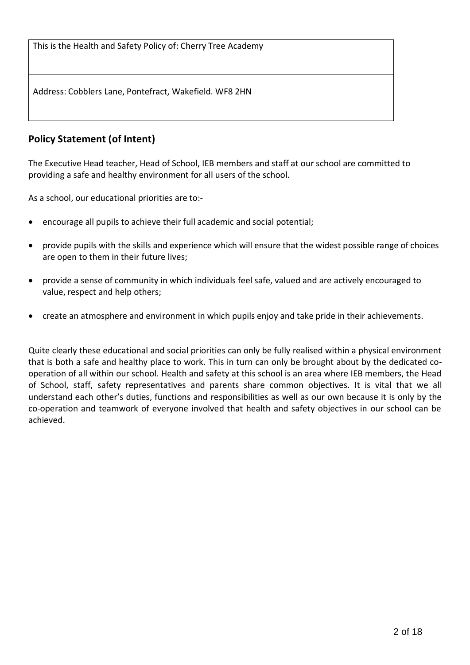This is the Health and Safety Policy of: Cherry Tree Academy

Address: Cobblers Lane, Pontefract, Wakefield. WF8 2HN

## **Policy Statement (of Intent)**

The Executive Head teacher, Head of School, IEB members and staff at our school are committed to providing a safe and healthy environment for all users of the school.

As a school, our educational priorities are to:-

- encourage all pupils to achieve their full academic and social potential;
- provide pupils with the skills and experience which will ensure that the widest possible range of choices are open to them in their future lives;
- provide a sense of community in which individuals feel safe, valued and are actively encouraged to value, respect and help others;
- create an atmosphere and environment in which pupils enjoy and take pride in their achievements.

Quite clearly these educational and social priorities can only be fully realised within a physical environment that is both a safe and healthy place to work. This in turn can only be brought about by the dedicated cooperation of all within our school. Health and safety at this school is an area where IEB members, the Head of School, staff, safety representatives and parents share common objectives. It is vital that we all understand each other's duties, functions and responsibilities as well as our own because it is only by the co-operation and teamwork of everyone involved that health and safety objectives in our school can be achieved.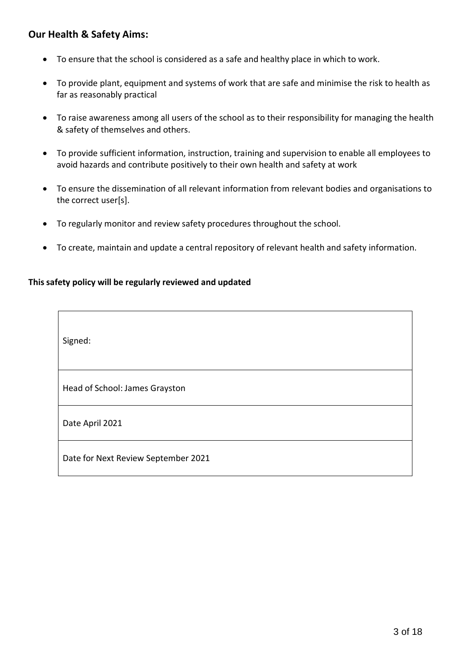## **Our Health & Safety Aims:**

 $\Gamma$ 

- To ensure that the school is considered as a safe and healthy place in which to work.
- To provide plant, equipment and systems of work that are safe and minimise the risk to health as far as reasonably practical
- To raise awareness among all users of the school as to their responsibility for managing the health & safety of themselves and others.
- To provide sufficient information, instruction, training and supervision to enable all employees to avoid hazards and contribute positively to their own health and safety at work
- To ensure the dissemination of all relevant information from relevant bodies and organisations to the correct user[s].
- To regularly monitor and review safety procedures throughout the school.
- To create, maintain and update a central repository of relevant health and safety information.

#### **This safety policy will be regularly reviewed and updated**

| Signed:                             |
|-------------------------------------|
| Head of School: James Grayston      |
| Date April 2021                     |
| Date for Next Review September 2021 |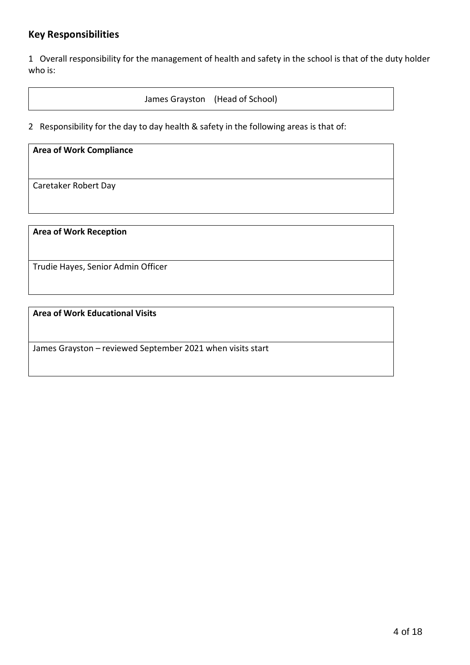## **Key Responsibilities**

1 Overall responsibility for the management of health and safety in the school is that of the duty holder who is:

James Grayston (Head of School)

2 Responsibility for the day to day health & safety in the following areas is that of:

## **Area of Work Compliance** Caretaker Robert Day

**Area of Work Reception**

Trudie Hayes, Senior Admin Officer

**Area of Work Educational Visits**

James Grayston – reviewed September 2021 when visits start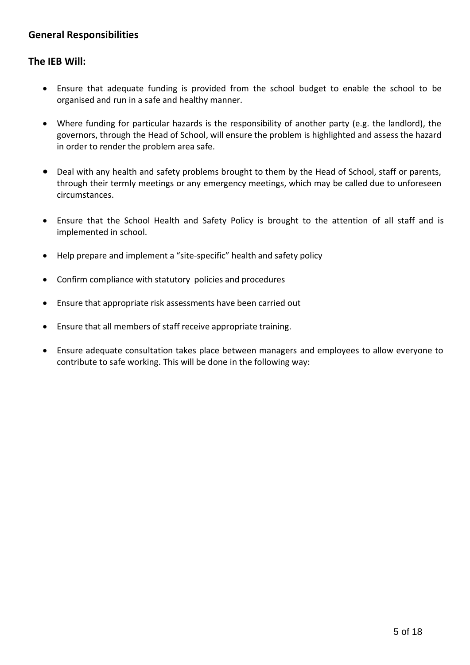## **General Responsibilities**

#### **The IEB Will:**

- Ensure that adequate funding is provided from the school budget to enable the school to be organised and run in a safe and healthy manner.
- Where funding for particular hazards is the responsibility of another party (e.g. the landlord), the governors, through the Head of School, will ensure the problem is highlighted and assess the hazard in order to render the problem area safe.
- Deal with any health and safety problems brought to them by the Head of School, staff or parents, through their termly meetings or any emergency meetings, which may be called due to unforeseen circumstances.
- Ensure that the School Health and Safety Policy is brought to the attention of all staff and is implemented in school.
- Help prepare and implement a "site-specific" health and safety policy
- Confirm compliance with statutory policies and procedures
- Ensure that appropriate risk assessments have been carried out
- Ensure that all members of staff receive appropriate training.
- Ensure adequate consultation takes place between managers and employees to allow everyone to contribute to safe working. This will be done in the following way: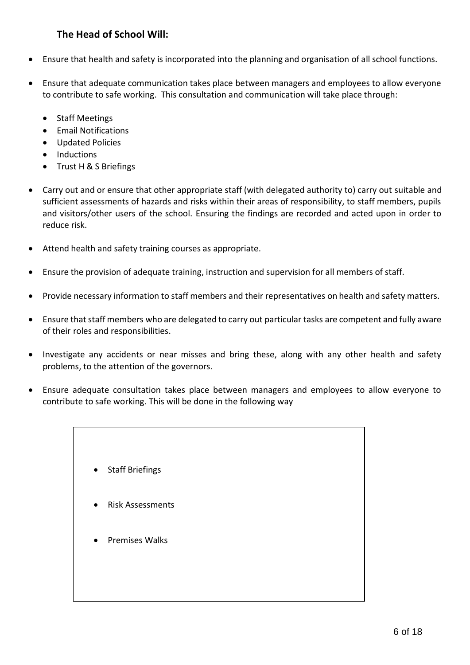## **The Head of School Will:**

- Ensure that health and safety is incorporated into the planning and organisation of all school functions.
- Ensure that adequate communication takes place between managers and employees to allow everyone to contribute to safe working. This consultation and communication will take place through:
	- Staff Meetings
	- Email Notifications
	- Updated Policies
	- Inductions
	- Trust H & S Briefings
- Carry out and or ensure that other appropriate staff (with delegated authority to) carry out suitable and sufficient assessments of hazards and risks within their areas of responsibility, to staff members, pupils and visitors/other users of the school. Ensuring the findings are recorded and acted upon in order to reduce risk.
- Attend health and safety training courses as appropriate.
- Ensure the provision of adequate training, instruction and supervision for all members of staff.
- Provide necessary information to staff members and their representatives on health and safety matters.
- Ensure that staff members who are delegated to carry out particular tasks are competent and fully aware of their roles and responsibilities.
- Investigate any accidents or near misses and bring these, along with any other health and safety problems, to the attention of the governors.
- Ensure adequate consultation takes place between managers and employees to allow everyone to contribute to safe working. This will be done in the following way
	- Staff Briefings
	- Risk Assessments
	- Premises Walks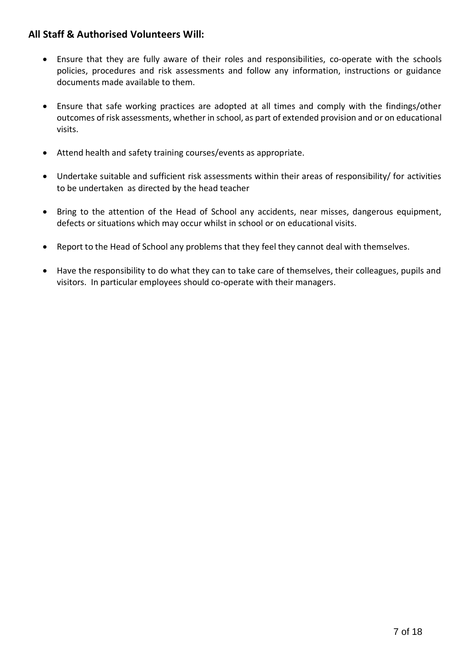## **All Staff & Authorised Volunteers Will:**

- Ensure that they are fully aware of their roles and responsibilities, co-operate with the schools policies, procedures and risk assessments and follow any information, instructions or guidance documents made available to them.
- Ensure that safe working practices are adopted at all times and comply with the findings/other outcomes of risk assessments, whether in school, as part of extended provision and or on educational visits.
- Attend health and safety training courses/events as appropriate.
- Undertake suitable and sufficient risk assessments within their areas of responsibility/ for activities to be undertaken as directed by the head teacher
- Bring to the attention of the Head of School any accidents, near misses, dangerous equipment, defects or situations which may occur whilst in school or on educational visits.
- Report to the Head of School any problems that they feel they cannot deal with themselves.
- Have the responsibility to do what they can to take care of themselves, their colleagues, pupils and visitors. In particular employees should co-operate with their managers.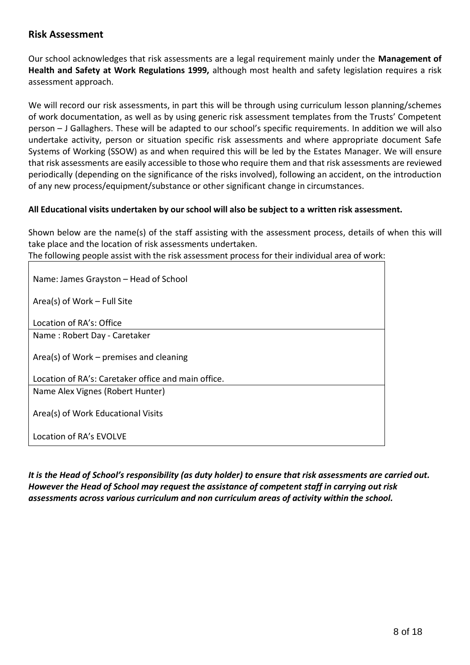## **Risk Assessment**

Our school acknowledges that risk assessments are a legal requirement mainly under the **Management of Health and Safety at Work Regulations 1999,** although most health and safety legislation requires a risk assessment approach.

We will record our risk assessments, in part this will be through using curriculum lesson planning/schemes of work documentation, as well as by using generic risk assessment templates from the Trusts' Competent person – J Gallaghers. These will be adapted to our school's specific requirements. In addition we will also undertake activity, person or situation specific risk assessments and where appropriate document Safe Systems of Working (SSOW) as and when required this will be led by the Estates Manager. We will ensure that risk assessments are easily accessible to those who require them and that risk assessments are reviewed periodically (depending on the significance of the risks involved), following an accident, on the introduction of any new process/equipment/substance or other significant change in circumstances.

#### **All Educational visits undertaken by our school will also be subject to a written risk assessment.**

Shown below are the name(s) of the staff assisting with the assessment process, details of when this will take place and the location of risk assessments undertaken.

The following people assist with the risk assessment process for their individual area of work:

| Name: James Grayston - Head of School               |
|-----------------------------------------------------|
| Area(s) of Work $-$ Full Site                       |
| Location of RA's: Office                            |
| Name: Robert Day - Caretaker                        |
| Area(s) of Work $-$ premises and cleaning           |
| Location of RA's: Caretaker office and main office. |
| Name Alex Vignes (Robert Hunter)                    |
| Area(s) of Work Educational Visits                  |
| Location of RA's EVOLVE                             |

*It is the Head of School's responsibility (as duty holder) to ensure that risk assessments are carried out. However the Head of School may request the assistance of competent staff in carrying out risk assessments across various curriculum and non curriculum areas of activity within the school.*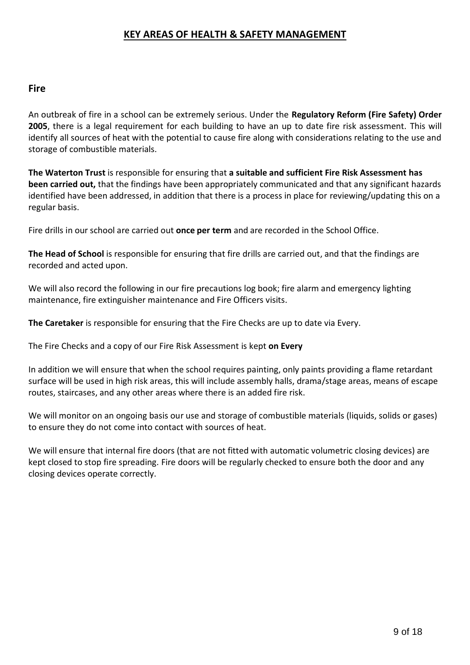## **KEY AREAS OF HEALTH & SAFETY MANAGEMENT**

#### **Fire**

An outbreak of fire in a school can be extremely serious. Under the **Regulatory Reform (Fire Safety) Order 2005**, there is a legal requirement for each building to have an up to date fire risk assessment. This will identify all sources of heat with the potential to cause fire along with considerations relating to the use and storage of combustible materials.

**The Waterton Trust** is responsible for ensuring that **a suitable and sufficient Fire Risk Assessment has been carried out,** that the findings have been appropriately communicated and that any significant hazards identified have been addressed, in addition that there is a process in place for reviewing/updating this on a regular basis.

Fire drills in our school are carried out **once per term** and are recorded in the School Office.

**The Head of School** is responsible for ensuring that fire drills are carried out, and that the findings are recorded and acted upon.

We will also record the following in our fire precautions log book; fire alarm and emergency lighting maintenance, fire extinguisher maintenance and Fire Officers visits.

**The Caretaker** is responsible for ensuring that the Fire Checks are up to date via Every.

The Fire Checks and a copy of our Fire Risk Assessment is kept **on Every**

In addition we will ensure that when the school requires painting, only paints providing a flame retardant surface will be used in high risk areas, this will include assembly halls, drama/stage areas, means of escape routes, staircases, and any other areas where there is an added fire risk.

We will monitor on an ongoing basis our use and storage of combustible materials (liquids, solids or gases) to ensure they do not come into contact with sources of heat.

We will ensure that internal fire doors (that are not fitted with automatic volumetric closing devices) are kept closed to stop fire spreading. Fire doors will be regularly checked to ensure both the door and any closing devices operate correctly.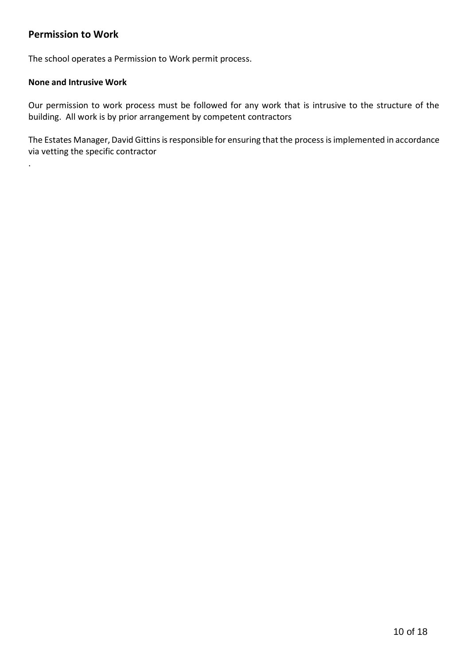## **Permission to Work**

The school operates a Permission to Work permit process.

#### **None and Intrusive Work**

.

Our permission to work process must be followed for any work that is intrusive to the structure of the building. All work is by prior arrangement by competent contractors

The Estates Manager, David Gittins is responsible for ensuring that the process is implemented in accordance via vetting the specific contractor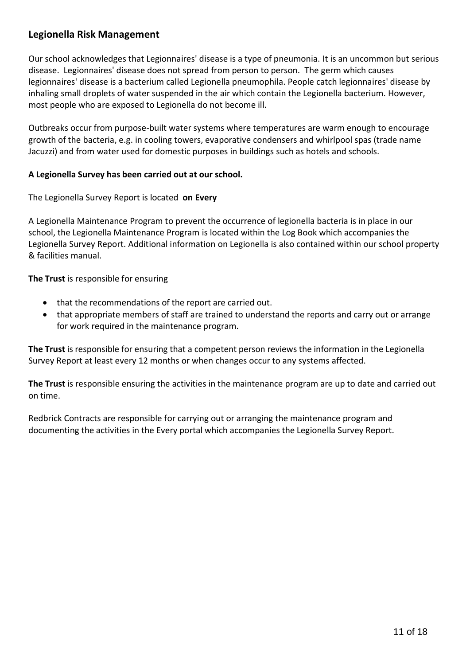## **Legionella Risk Management**

Our school acknowledges that Legionnaires' disease is a type of pneumonia. It is an uncommon but serious disease. Legionnaires' disease does not spread from person to person. The germ which causes legionnaires' disease is a bacterium called Legionella pneumophila. People catch legionnaires' disease by inhaling small droplets of water suspended in the air which contain the Legionella bacterium. However, most people who are exposed to Legionella do not become ill.

Outbreaks occur from purpose-built water systems where temperatures are warm enough to encourage growth of the bacteria, e.g. in cooling towers, evaporative condensers and whirlpool spas (trade name Jacuzzi) and from water used for domestic purposes in buildings such as hotels and schools.

#### **A Legionella Survey has been carried out at our school.**

The Legionella Survey Report is located **on Every**

A Legionella Maintenance Program to prevent the occurrence of legionella bacteria is in place in our school, the Legionella Maintenance Program is located within the Log Book which accompanies the Legionella Survey Report. Additional information on Legionella is also contained within our school property & facilities manual.

**The Trust** is responsible for ensuring

- that the recommendations of the report are carried out.
- that appropriate members of staff are trained to understand the reports and carry out or arrange for work required in the maintenance program.

**The Trust** is responsible for ensuring that a competent person reviews the information in the Legionella Survey Report at least every 12 months or when changes occur to any systems affected.

**The Trust** is responsible ensuring the activities in the maintenance program are up to date and carried out on time.

Redbrick Contracts are responsible for carrying out or arranging the maintenance program and documenting the activities in the Every portal which accompanies the Legionella Survey Report.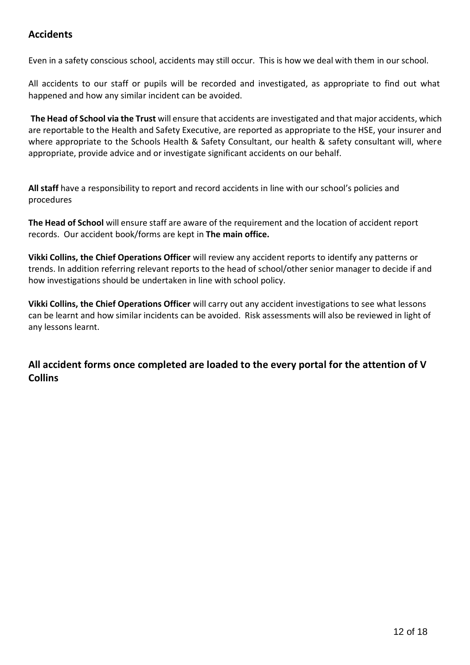## **Accidents**

Even in a safety conscious school, accidents may still occur. This is how we deal with them in our school.

All accidents to our staff or pupils will be recorded and investigated, as appropriate to find out what happened and how any similar incident can be avoided.

**The Head of School via the Trust** will ensure that accidents are investigated and that major accidents, which are reportable to the Health and Safety Executive, are reported as appropriate to the HSE, your insurer and where appropriate to the Schools Health & Safety Consultant, our health & safety consultant will, where appropriate, provide advice and or investigate significant accidents on our behalf.

**All staff** have a responsibility to report and record accidents in line with our school's policies and procedures

**The Head of School** will ensure staff are aware of the requirement and the location of accident report records. Our accident book/forms are kept in **The main office.**

**Vikki Collins, the Chief Operations Officer** will review any accident reports to identify any patterns or trends. In addition referring relevant reports to the head of school/other senior manager to decide if and how investigations should be undertaken in line with school policy.

**Vikki Collins, the Chief Operations Officer** will carry out any accident investigations to see what lessons can be learnt and how similar incidents can be avoided. Risk assessments will also be reviewed in light of any lessons learnt.

**All accident forms once completed are loaded to the every portal for the attention of V Collins**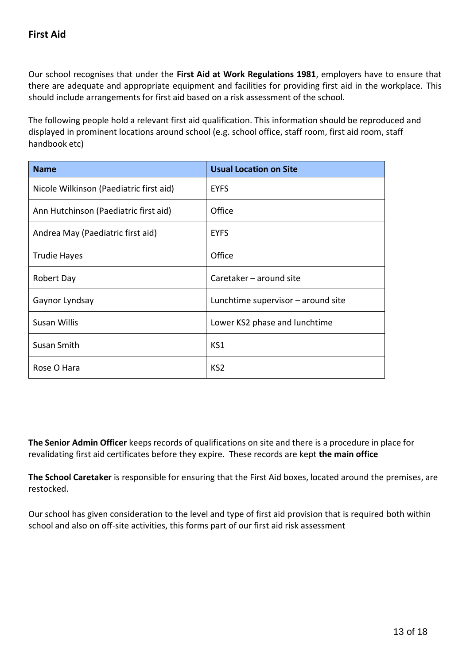Our school recognises that under the **First Aid at Work Regulations 1981**, employers have to ensure that there are adequate and appropriate equipment and facilities for providing first aid in the workplace. This should include arrangements for first aid based on a risk assessment of the school.

The following people hold a relevant first aid qualification. This information should be reproduced and displayed in prominent locations around school (e.g. school office, staff room, first aid room, staff handbook etc)

| <b>Name</b>                             | <b>Usual Location on Site</b>        |
|-----------------------------------------|--------------------------------------|
| Nicole Wilkinson (Paediatric first aid) | <b>EYFS</b>                          |
| Ann Hutchinson (Paediatric first aid)   | Office                               |
| Andrea May (Paediatric first aid)       | <b>EYFS</b>                          |
| Trudie Hayes                            | Office                               |
| Robert Day                              | Caretaker - around site              |
| Gaynor Lyndsay                          | Lunchtime supervisor $-$ around site |
| <b>Susan Willis</b>                     | Lower KS2 phase and lunchtime        |
| Susan Smith                             | KS1                                  |
| Rose O Hara                             | KS <sub>2</sub>                      |

**The Senior Admin Officer** keeps records of qualifications on site and there is a procedure in place for revalidating first aid certificates before they expire. These records are kept **the main office**

**The School Caretaker** is responsible for ensuring that the First Aid boxes, located around the premises, are restocked.

Our school has given consideration to the level and type of first aid provision that is required both within school and also on off-site activities, this forms part of our first aid risk assessment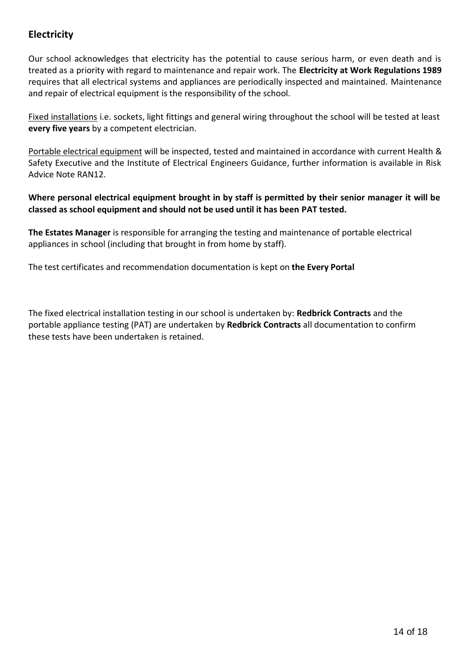## **Electricity**

Our school acknowledges that electricity has the potential to cause serious harm, or even death and is treated as a priority with regard to maintenance and repair work. The **Electricity at Work Regulations 1989** requires that all electrical systems and appliances are periodically inspected and maintained. Maintenance and repair of electrical equipment is the responsibility of the school.

Fixed installations i.e. sockets, light fittings and general wiring throughout the school will be tested at least **every five years** by a competent electrician.

Portable electrical equipment will be inspected, tested and maintained in accordance with current Health & Safety Executive and the Institute of Electrical Engineers Guidance, further information is available in Risk Advice Note RAN12.

**Where personal electrical equipment brought in by staff is permitted by their senior manager it will be classed as school equipment and should not be used until it has been PAT tested.**

**The Estates Manager** is responsible for arranging the testing and maintenance of portable electrical appliances in school (including that brought in from home by staff).

The test certificates and recommendation documentation is kept on **the Every Portal**

The fixed electrical installation testing in our school is undertaken by: **Redbrick Contracts** and the portable appliance testing (PAT) are undertaken by **Redbrick Contracts** all documentation to confirm these tests have been undertaken is retained.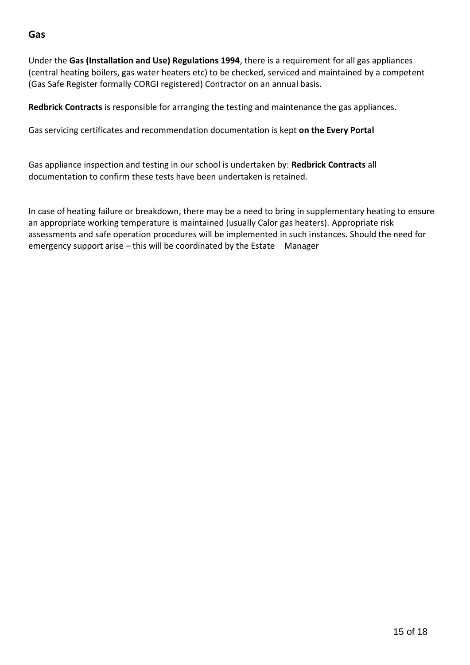## **Gas**

Under the **Gas (Installation and Use) Regulations 1994**, there is a requirement for all gas appliances (central heating boilers, gas water heaters etc) to be checked, serviced and maintained by a competent (Gas Safe Register formally CORGI registered) Contractor on an annual basis.

**Redbrick Contracts** is responsible for arranging the testing and maintenance the gas appliances.

Gas servicing certificates and recommendation documentation is kept **on the Every Portal**

Gas appliance inspection and testing in our school is undertaken by: **Redbrick Contracts** all documentation to confirm these tests have been undertaken is retained.

In case of heating failure or breakdown, there may be a need to bring in supplementary heating to ensure an appropriate working temperature is maintained (usually Calor gas heaters). Appropriate risk assessments and safe operation procedures will be implemented in such instances. Should the need for emergency support arise – this will be coordinated by the Estate Manager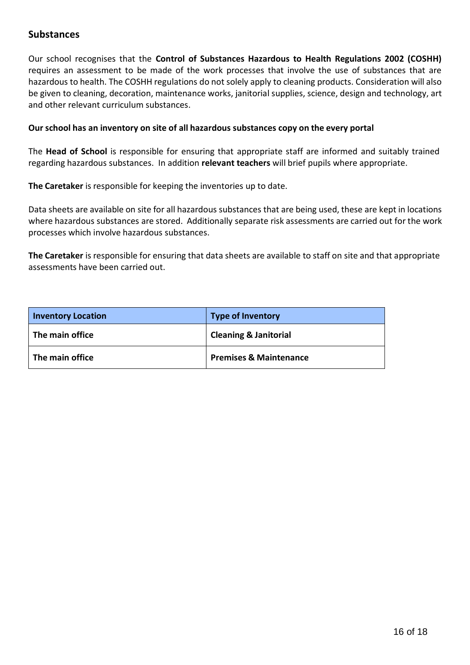### **Substances**

Our school recognises that the **Control of Substances Hazardous to Health Regulations 2002 (COSHH)** requires an assessment to be made of the work processes that involve the use of substances that are hazardous to health. The COSHH regulations do not solely apply to cleaning products. Consideration will also be given to cleaning, decoration, maintenance works, janitorial supplies, science, design and technology, art and other relevant curriculum substances.

#### **Our school has an inventory on site of all hazardous substances copy on the every portal**

The **Head of School** is responsible for ensuring that appropriate staff are informed and suitably trained regarding hazardous substances. In addition **relevant teachers** will brief pupils where appropriate.

**The Caretaker** is responsible for keeping the inventories up to date.

Data sheets are available on site for all hazardous substances that are being used, these are kept in locations where hazardous substances are stored. Additionally separate risk assessments are carried out for the work processes which involve hazardous substances.

**The Caretaker** is responsible for ensuring that data sheets are available to staff on site and that appropriate assessments have been carried out.

| <b>Inventory Location</b> | <b>Type of Inventory</b>          |
|---------------------------|-----------------------------------|
| The main office           | <b>Cleaning &amp; Janitorial</b>  |
| The main office           | <b>Premises &amp; Maintenance</b> |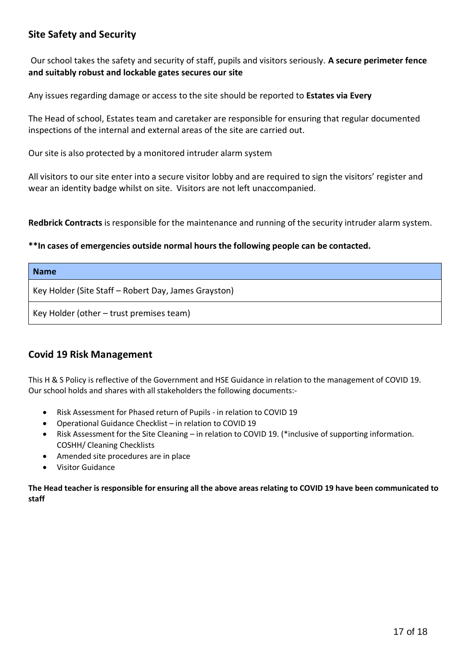## **Site Safety and Security**

Our school takes the safety and security of staff, pupils and visitors seriously. **A secure perimeter fence and suitably robust and lockable gates secures our site**

Any issues regarding damage or access to the site should be reported to **Estates via Every**

The Head of school, Estates team and caretaker are responsible for ensuring that regular documented inspections of the internal and external areas of the site are carried out.

Our site is also protected by a monitored intruder alarm system

All visitors to our site enter into a secure visitor lobby and are required to sign the visitors' register and wear an identity badge whilst on site. Visitors are not left unaccompanied.

**Redbrick Contracts** is responsible for the maintenance and running of the security intruder alarm system.

#### **\*\*In cases of emergencies outside normal hours the following people can be contacted.**

| <b>Name</b>                                          |
|------------------------------------------------------|
| Key Holder (Site Staff – Robert Day, James Grayston) |
| Key Holder (other $-$ trust premises team)           |

#### **Covid 19 Risk Management**

This H & S Policy is reflective of the Government and HSE Guidance in relation to the management of COVID 19. Our school holds and shares with all stakeholders the following documents:-

- Risk Assessment for Phased return of Pupils in relation to COVID 19
- Operational Guidance Checklist in relation to COVID 19
- Risk Assessment for the Site Cleaning in relation to COVID 19. (\*inclusive of supporting information. COSHH/ Cleaning Checklists
- Amended site procedures are in place
- Visitor Guidance

**The Head teacher is responsible for ensuring all the above areas relating to COVID 19 have been communicated to staff**